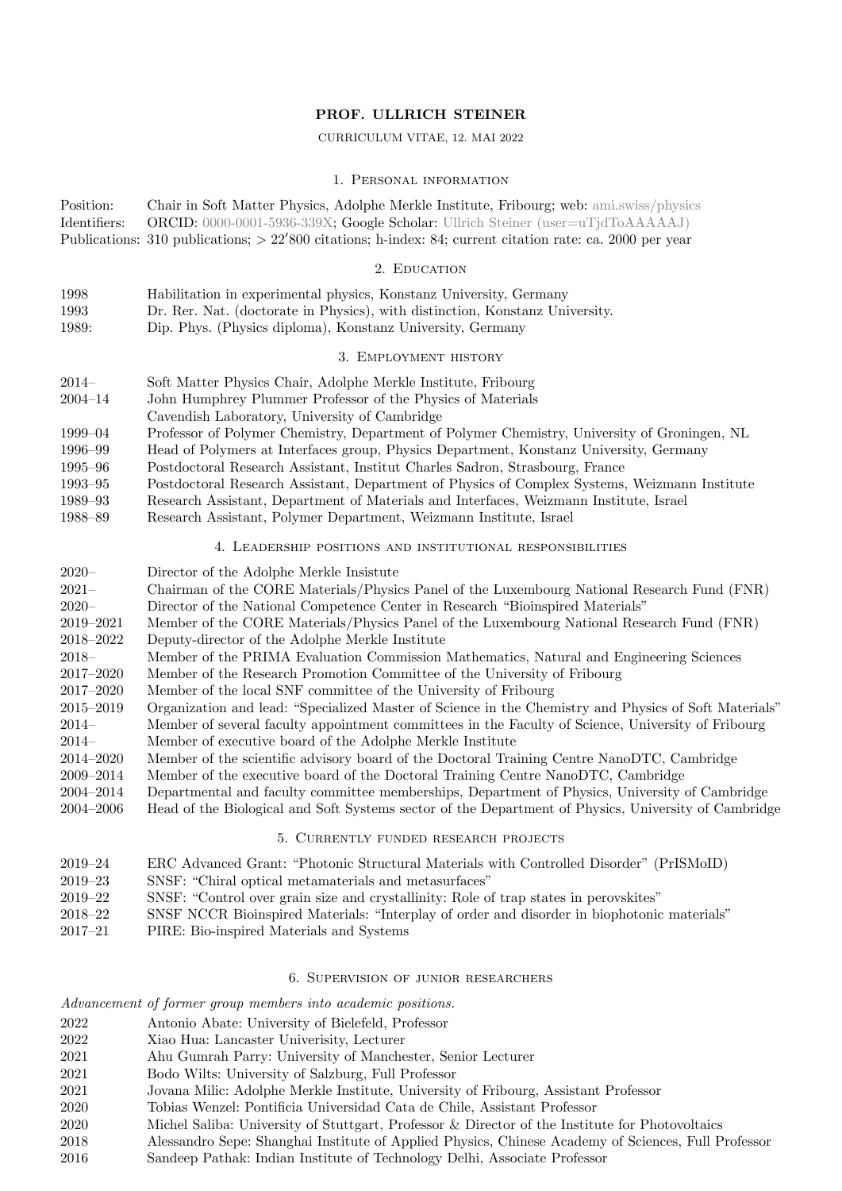## PROF. ULLRICH STEINER

#### CURRICULUM VITAE, 12. MAI 2022

#### 1. Personal information

Position: Chair in Soft Matter Physics, Adolphe Merkle Institute, Fribourg; web: [ami.swiss/physics](http://www.ami.swiss/physics) Identifiers: ORCID: [0000-0001-5936-339X;](http://orcid.org/0000-0001-5936-339X) Google Scholar: Ullrich Steiner [\(user=uTjdToAAAAAJ\)](https://scholar.google.com/citations?user=uTjdToAAAAAJ) Publications: 310 publications; *>* 22'800 citations; h-index: 84; current citation rate: ca. 2000 per year

#### 2. EDUCATION

- 1998 Habilitation in experimental physics, Konstanz University, Germany
- 1993 Dr. Rer. Nat. (doctorate in Physics), with distinction, Konstanz University.
- 1989: Dip. Phys. (Physics diploma), Konstanz University, Germany

### 3. Employment history

- 2014– Soft Matter Physics Chair, Adolphe Merkle Institute, Fribourg 2004–14 John Humphrey Plummer Professor of the Physics of Materials Cavendish Laboratory, University of Cambridge
- 1999–04 Professor of Polymer Chemistry, Department of Polymer Chemistry, University of Groningen, NL
- 1996–99 Head of Polymers at Interfaces group, Physics Department, Konstanz University, Germany
- 1995–96 Postdoctoral Research Assistant, Institut Charles Sadron, Strasbourg, France
- 1993–95 Postdoctoral Research Assistant, Department of Physics of Complex Systems, Weizmann Institute
- 1989–93 Research Assistant, Department of Materials and Interfaces, Weizmann Institute, Israel
- 1988–89 Research Assistant, Polymer Department, Weizmann Institute, Israel

### 4. Leadership positions and institutional responsibilities

2020– Director of the Adolphe Merkle Insistute 2021– Chairman of the CORE Materials/Physics Panel of the Luxembourg National Research Fund (FNR) 2020– Director of the National Competence Center in Research "Bioinspired Materials" 2019–2021 Member of the CORE Materials/Physics Panel of the Luxembourg National Research Fund (FNR) 2018–2022 Deputy-director of the Adolphe Merkle Institute 2018– Member of the PRIMA Evaluation Commission Mathematics, Natural and Engineering Sciences 2017–2020 Member of the Research Promotion Committee of the University of Fribourg 2017–2020 Member of the local SNF committee of the University of Fribourg 2015–2019 Organization and lead: "Specialized Master of Science in the Chemistry and Physics of Soft Materials" 2014– Member of several faculty appointment committees in the Faculty of Science, University of Fribourg 2014– Member of executive board of the Adolphe Merkle Institute 2014–2020 Member of the scientific advisory board of the Doctoral Training Centre NanoDTC, Cambridge 2009–2014 Member of the executive board of the Doctoral Training Centre NanoDTC, Cambridge 2004–2014 Departmental and faculty committee memberships, Department of Physics, University of Cambridge 2004–2006 Head of the Biological and Soft Systems sector of the Department of Physics, University of Cambridge

## 5. Currently funded research projects

- 2019–24 ERC Advanced Grant: "Photonic Structural Materials with Controlled Disorder" (PrISMoID)
- 2019–23 SNSF: "Chiral optical metamaterials and metasurfaces"
- 2019–22 SNSF: "Control over grain size and crystallinity: Role of trap states in perovskites"
- 2018–22 SNSF NCCR Bioinspired Materials: "Interplay of order and disorder in biophotonic materials"
- 2017–21 PIRE: Bio-inspired Materials and Systems

### 6. Supervision of junior researchers

*Advancement of former group members into academic positions.*

- 2022 Antonio Abate: University of Bielefeld, Professor
- 2022 Xiao Hua: Lancaster Univerisity, Lecturer
- 2021 Ahu Gumrah Parry: University of Manchester, Senior Lecturer
- 2021 Bodo Wilts: University of Salzburg, Full Professor
- 2021 Jovana Milic: Adolphe Merkle Institute, University of Fribourg, Assistant Professor
- 2020 Tobias Wenzel: Pontificia Universidad Cata de Chile, Assistant Professor
- 2020 Michel Saliba: University of Stuttgart, Professor & Director of the Institute for Photovoltaics
- 2018 Alessandro Sepe: Shanghai Institute of Applied Physics, Chinese Academy of Sciences, Full Professor
- 2016 Sandeep Pathak: Indian Institute of Technology Delhi, Associate Professor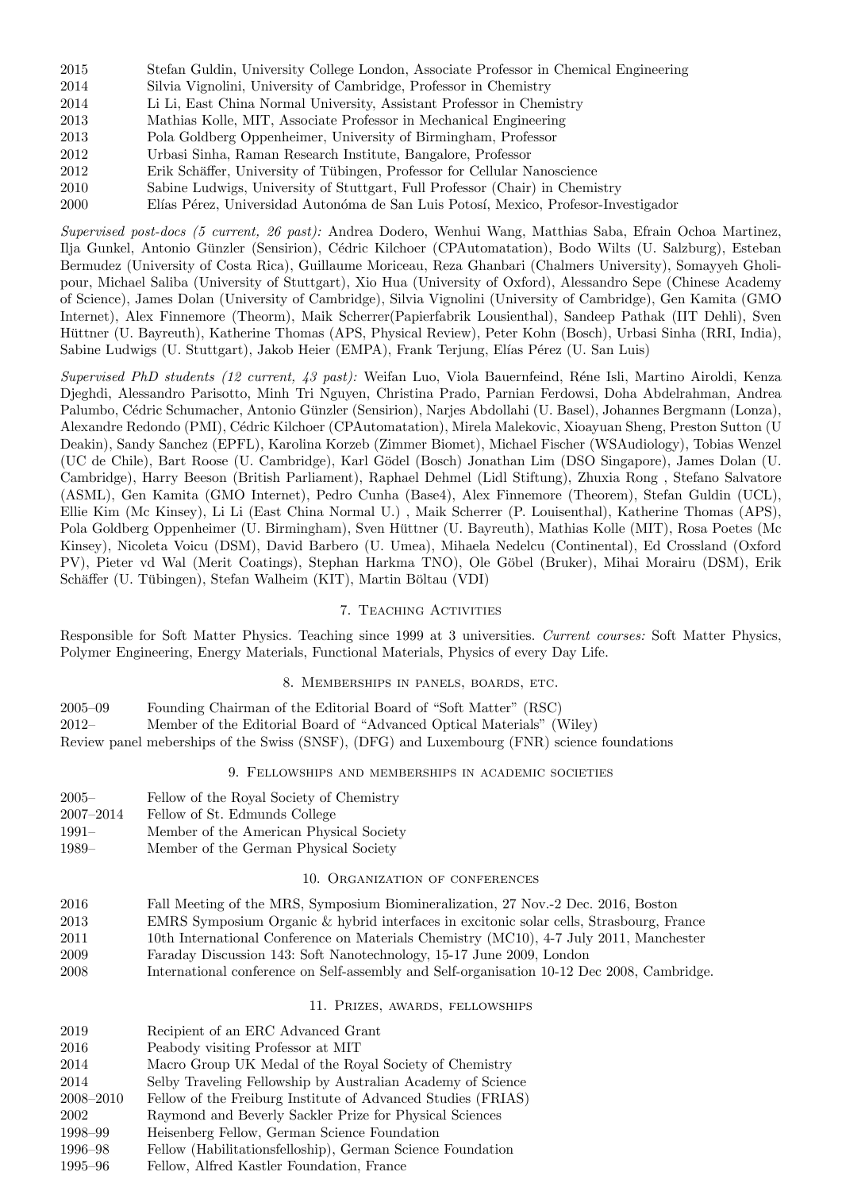| 2015 | Stefan Guldin, University College London, Associate Professor in Chemical Engineering |
|------|---------------------------------------------------------------------------------------|
| 2014 | Silvia Vignolini, University of Cambridge, Professor in Chemistry                     |
| 2014 | Li Li, East China Normal University, Assistant Professor in Chemistry                 |
| 2013 | Mathias Kolle, MIT, Associate Professor in Mechanical Engineering                     |
| 2013 | Pola Goldberg Oppenheimer, University of Birmingham, Professor                        |
| 2012 | Urbasi Sinha, Raman Research Institute, Bangalore, Professor                          |
| 2012 | Erik Schäffer, University of Tübingen, Professor for Cellular Nanoscience             |
| 2010 | Sabine Ludwigs, University of Stuttgart, Full Professor (Chair) in Chemistry          |
| 2000 | Elías Pérez, Universidad Autonóma de San Luis Potosí, Mexico, Profesor-Investigador   |

*Supervised post-docs (5 current, 26 past):* Andrea Dodero, Wenhui Wang, Matthias Saba, Efrain Ochoa Martinez, Ilja Gunkel, Antonio Günzler (Sensirion), Cédric Kilchoer (CPAutomatation), Bodo Wilts (U. Salzburg), Esteban Bermudez (University of Costa Rica), Guillaume Moriceau, Reza Ghanbari (Chalmers University), Somayyeh Gholipour, Michael Saliba (University of Stuttgart), Xio Hua (University of Oxford), Alessandro Sepe (Chinese Academy of Science), James Dolan (University of Cambridge), Silvia Vignolini (University of Cambridge), Gen Kamita (GMO Internet), Alex Finnemore (Theorm), Maik Scherrer(Papierfabrik Lousienthal), Sandeep Pathak (IIT Dehli), Sven Hüttner (U. Bayreuth), Katherine Thomas (APS, Physical Review), Peter Kohn (Bosch), Urbasi Sinha (RRI, India), Sabine Ludwigs (U. Stuttgart), Jakob Heier (EMPA), Frank Terjung, Elías Pérez (U. San Luis)

*Supervised PhD students (12 current, 43 past):* Weifan Luo, Viola Bauernfeind, R´ene Isli, Martino Airoldi, Kenza Djeghdi, Alessandro Parisotto, Minh Tri Nguyen, Christina Prado, Parnian Ferdowsi, Doha Abdelrahman, Andrea Palumbo, Cédric Schumacher, Antonio Günzler (Sensirion), Narjes Abdollahi (U. Basel), Johannes Bergmann (Lonza), Alexandre Redondo (PMI), Cédric Kilchoer (CPAutomatation), Mirela Malekovic, Xioayuan Sheng, Preston Sutton (U Deakin), Sandy Sanchez (EPFL), Karolina Korzeb (Zimmer Biomet), Michael Fischer (WSAudiology), Tobias Wenzel (UC de Chile), Bart Roose (U. Cambridge), Karl G¨odel (Bosch) Jonathan Lim (DSO Singapore), James Dolan (U. Cambridge), Harry Beeson (British Parliament), Raphael Dehmel (Lidl Stiftung), Zhuxia Rong , Stefano Salvatore (ASML), Gen Kamita (GMO Internet), Pedro Cunha (Base4), Alex Finnemore (Theorem), Stefan Guldin (UCL), Ellie Kim (Mc Kinsey), Li Li (East China Normal U.) , Maik Scherrer (P. Louisenthal), Katherine Thomas (APS), Pola Goldberg Oppenheimer (U. Birmingham), Sven Hüttner (U. Bayreuth), Mathias Kolle (MIT), Rosa Poetes (Mc Kinsey), Nicoleta Voicu (DSM), David Barbero (U. Umea), Mihaela Nedelcu (Continental), Ed Crossland (Oxford PV), Pieter vd Wal (Merit Coatings), Stephan Harkma TNO), Ole Göbel (Bruker), Mihai Morairu (DSM), Erik Schäffer (U. Tübingen), Stefan Walheim (KIT), Martin Böltau (VDI)

## 7. Teaching Activities

Responsible for Soft Matter Physics. Teaching since 1999 at 3 universities. *Current courses:* Soft Matter Physics, Polymer Engineering, Energy Materials, Functional Materials, Physics of every Day Life.

## 8. Memberships in panels, boards, etc.

2005–09 Founding Chairman of the Editorial Board of "Soft Matter" (RSC) 2012– Member of the Editorial Board of "Advanced Optical Materials" (Wiley) Review panel meberships of the Swiss (SNSF), (DFG) and Luxembourg (FNR) science foundations

## 9. Fellowships and memberships in academic societies

- 2005– Fellow of the Royal Society of Chemistry
- 2007–2014 Fellow of St. Edmunds College
- 1991– Member of the American Physical Society
- 1989– Member of the German Physical Society

# 10. Organization of conferences

- 2016 Fall Meeting of the MRS, Symposium Biomineralization, 27 Nov.-2 Dec. 2016, Boston
- 2013 EMRS Symposium Organic & hybrid interfaces in excitonic solar cells, Strasbourg, France
- 2011 10th International Conference on Materials Chemistry (MC10), 4-7 July 2011, Manchester
- 2009 Faraday Discussion 143: Soft Nanotechnology, 15-17 June 2009, London
- 2008 International conference on Self-assembly and Self-organisation 10-12 Dec 2008, Cambridge.

# 11. Prizes, awards, fellowships

| 2019          | Recipient of an ERC Advanced Grant                           |
|---------------|--------------------------------------------------------------|
|               |                                                              |
| 2016          | Peabody visiting Professor at MIT                            |
| 2014          | Macro Group UK Medal of the Royal Society of Chemistry       |
| 2014          | Selby Traveling Fellowship by Australian Academy of Science  |
| $2008 - 2010$ | Fellow of the Freiburg Institute of Advanced Studies (FRIAS) |
| 2002          | Raymond and Beverly Sackler Prize for Physical Sciences      |
| 1998–99       | Heisenberg Fellow, German Science Foundation                 |
| 1996–98       | Fellow (Habilitationsfelloship), German Science Foundation   |
| 1995–96       | Fellow, Alfred Kastler Foundation, France                    |